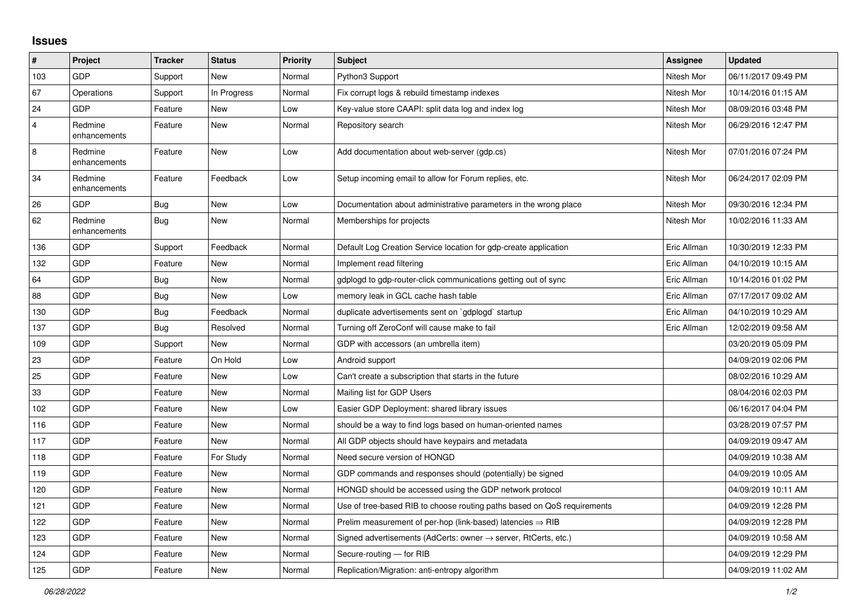## **Issues**

| #   | Project                 | <b>Tracker</b> | <b>Status</b> | <b>Priority</b> | <b>Subject</b>                                                             | Assignee    | <b>Updated</b>      |
|-----|-------------------------|----------------|---------------|-----------------|----------------------------------------------------------------------------|-------------|---------------------|
| 103 | <b>GDP</b>              | Support        | <b>New</b>    | Normal          | Python3 Support                                                            | Nitesh Mor  | 06/11/2017 09:49 PM |
| 67  | Operations              | Support        | In Progress   | Normal          | Fix corrupt logs & rebuild timestamp indexes                               | Nitesh Mor  | 10/14/2016 01:15 AM |
| 24  | <b>GDP</b>              | Feature        | <b>New</b>    | Low             | Key-value store CAAPI: split data log and index log                        | Nitesh Mor  | 08/09/2016 03:48 PM |
| 4   | Redmine<br>enhancements | Feature        | <b>New</b>    | Normal          | Repository search                                                          | Nitesh Mor  | 06/29/2016 12:47 PM |
| 8   | Redmine<br>enhancements | Feature        | New           | Low             | Add documentation about web-server (gdp.cs)                                | Nitesh Mor  | 07/01/2016 07:24 PM |
| 34  | Redmine<br>enhancements | Feature        | Feedback      | Low             | Setup incoming email to allow for Forum replies, etc.                      | Nitesh Mor  | 06/24/2017 02:09 PM |
| 26  | GDP                     | Bug            | New           | Low             | Documentation about administrative parameters in the wrong place           | Nitesh Mor  | 09/30/2016 12:34 PM |
| 62  | Redmine<br>enhancements | <b>Bug</b>     | <b>New</b>    | Normal          | Memberships for projects                                                   | Nitesh Mor  | 10/02/2016 11:33 AM |
| 136 | <b>GDP</b>              | Support        | Feedback      | Normal          | Default Log Creation Service location for gdp-create application           | Eric Allman | 10/30/2019 12:33 PM |
| 132 | <b>GDP</b>              | Feature        | <b>New</b>    | Normal          | Implement read filtering                                                   | Eric Allman | 04/10/2019 10:15 AM |
| 64  | GDP                     | Bug            | <b>New</b>    | Normal          | gdplogd to gdp-router-click communications getting out of sync             | Eric Allman | 10/14/2016 01:02 PM |
| 88  | <b>GDP</b>              | Bug            | <b>New</b>    | Low             | memory leak in GCL cache hash table                                        | Eric Allman | 07/17/2017 09:02 AM |
| 130 | <b>GDP</b>              | Bug            | Feedback      | Normal          | duplicate advertisements sent on `gdplogd` startup                         | Eric Allman | 04/10/2019 10:29 AM |
| 137 | <b>GDP</b>              | Bug            | Resolved      | Normal          | Turning off ZeroConf will cause make to fail                               | Eric Allman | 12/02/2019 09:58 AM |
| 109 | GDP                     | Support        | <b>New</b>    | Normal          | GDP with accessors (an umbrella item)                                      |             | 03/20/2019 05:09 PM |
| 23  | GDP                     | Feature        | On Hold       | Low             | Android support                                                            |             | 04/09/2019 02:06 PM |
| 25  | <b>GDP</b>              | Feature        | <b>New</b>    | Low             | Can't create a subscription that starts in the future                      |             | 08/02/2016 10:29 AM |
| 33  | <b>GDP</b>              | Feature        | <b>New</b>    | Normal          | Mailing list for GDP Users                                                 |             | 08/04/2016 02:03 PM |
| 102 | <b>GDP</b>              | Feature        | <b>New</b>    | Low             | Easier GDP Deployment: shared library issues                               |             | 06/16/2017 04:04 PM |
| 116 | <b>GDP</b>              | Feature        | New           | Normal          | should be a way to find logs based on human-oriented names                 |             | 03/28/2019 07:57 PM |
| 117 | GDP                     | Feature        | <b>New</b>    | Normal          | All GDP objects should have keypairs and metadata                          |             | 04/09/2019 09:47 AM |
| 118 | GDP                     | Feature        | For Study     | Normal          | Need secure version of HONGD                                               |             | 04/09/2019 10:38 AM |
| 119 | <b>GDP</b>              | Feature        | <b>New</b>    | Normal          | GDP commands and responses should (potentially) be signed                  |             | 04/09/2019 10:05 AM |
| 120 | GDP                     | Feature        | <b>New</b>    | Normal          | HONGD should be accessed using the GDP network protocol                    |             | 04/09/2019 10:11 AM |
| 121 | GDP                     | Feature        | <b>New</b>    | Normal          | Use of tree-based RIB to choose routing paths based on QoS requirements    |             | 04/09/2019 12:28 PM |
| 122 | <b>GDP</b>              | Feature        | <b>New</b>    | Normal          | Prelim measurement of per-hop (link-based) latencies $\Rightarrow$ RIB     |             | 04/09/2019 12:28 PM |
| 123 | GDP                     | Feature        | <b>New</b>    | Normal          | Signed advertisements (AdCerts: owner $\rightarrow$ server, RtCerts, etc.) |             | 04/09/2019 10:58 AM |
| 124 | <b>GDP</b>              | Feature        | <b>New</b>    | Normal          | Secure-routing - for RIB                                                   |             | 04/09/2019 12:29 PM |
| 125 | GDP                     | Feature        | New           | Normal          | Replication/Migration: anti-entropy algorithm                              |             | 04/09/2019 11:02 AM |